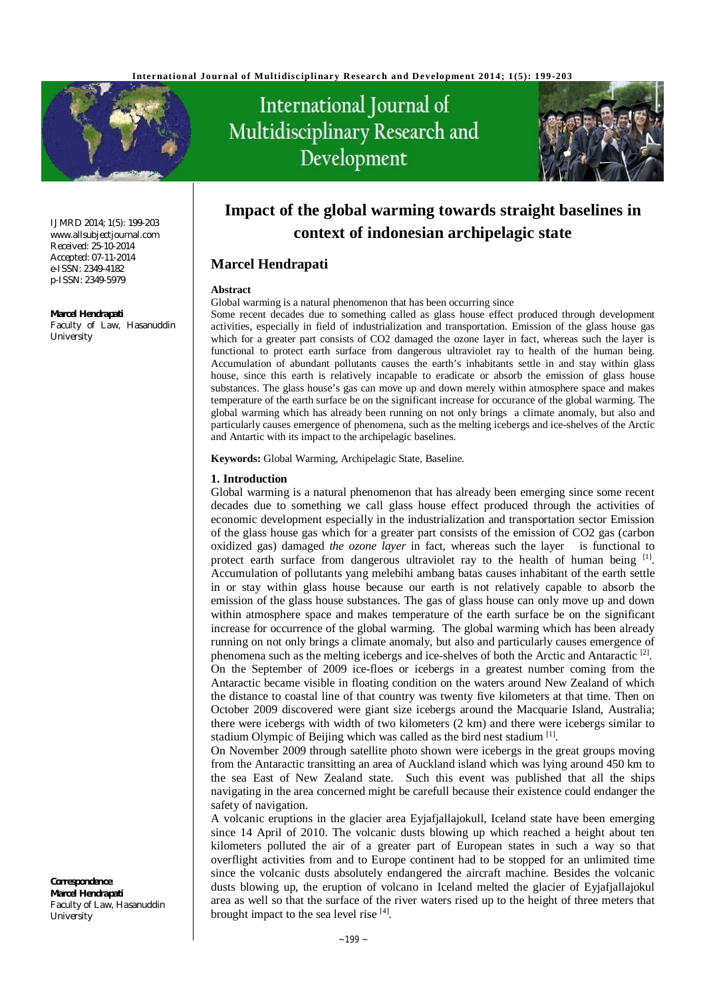

#### IJMRD 2014; 1(5): 199-203 [www.allsubjectjournal.com](http://www.allsubjectjournal.com) Received: 25-10-2014 Accepted: 07-11-2014 e-ISSN: 2349-4182 p-ISSN: 2349-5979

#### **Marcel Hendrapati**

Faculty of Law, Hasanuddin **University** 

International Journal of Multidisciplinary Research and Development



# **Impact of the global warming towards straight baselines in context of indonesian archipelagic state**

# **Marcel Hendrapati**

## **Abstract**

Global warming is a natural phenomenon that has been occurring since

Some recent decades due to something called as glass house effect produced through development activities, especially in field of industrialization and transportation. Emission of the glass house gas which for a greater part consists of CO2 damaged the ozone layer in fact, whereas such the layer is functional to protect earth surface from dangerous ultraviolet ray to health of the human being. Accumulation of abundant pollutants causes the earth's inhabitants settle in and stay within glass house, since this earth is relatively incapable to eradicate or absorb the emission of glass house substances. The glass house's gas can move up and down merely within atmosphere space and makes temperature of the earth surface be on the significant increase for occurance of the global warming. The global warming which has already been running on not only brings a climate anomaly, but also and particularly causes emergence of phenomena, such as the melting icebergs and ice-shelves of the Arctic and Antartic with its impact to the archipelagic baselines.

**Keywords:** Global Warming, Archipelagic State, Baseline*.*

#### **1. Introduction**

Global warming is a natural phenomenon that has already been emerging since some recent decades due to something we call glass house effect produced through the activities of economic development especially in the industrialization and transportation sector Emission of the glass house gas which for a greater part consists of the emission of CO2 gas (carbon oxidized gas) damaged *the ozone layer* in fact, whereas such the layer is functional to protect earth surface from dangerous ultraviolet ray to the health of human being [1]. Accumulation of pollutants yang melebihi ambang batas causes inhabitant of the earth settle in or stay within glass house because our earth is not relatively capable to absorb the emission of the glass house substances. The gas of glass house can only move up and down within atmosphere space and makes temperature of the earth surface be on the significant increase for occurrence of the global warming. The global warming which has been already running on not only brings a climate anomaly, but also and particularly causes emergence of phenomena such as the melting icebergs and ice-shelves of both the Arctic and Antaractic<sup>[2]</sup>. On the September of 2009 ice-floes or icebergs in a greatest number coming from the Antaractic became visible in floating condition on the waters around New Zealand of which the distance to coastal line of that country was twenty five kilometers at that time. Then on October 2009 discovered were giant size icebergs around the Macquarie Island, Australia; there were icebergs with width of two kilometers (2 km) and there were icebergs similar to stadium Olympic of Beijing which was called as the bird nest stadium <a>[1]</a>.

On November 2009 through satellite photo shown were icebergs in the great groups moving from the Antaractic transitting an area of Auckland island which was lying around 450 km to the sea East of New Zealand state. Such this event was published that all the ships navigating in the area concerned might be carefull because their existence could endanger the safety of navigation.

A volcanic eruptions in the glacier area Eyjafjallajokull, Iceland state have been emerging since 14 April of 2010. The volcanic dusts blowing up which reached a height about ten kilometers polluted the air of a greater part of European states in such a way so that overflight activities from and to Europe continent had to be stopped for an unlimited time since the volcanic dusts absolutely endangered the aircraft machine. Besides the volcanic dusts blowing up, the eruption of volcano in Iceland melted the glacier of Eyjafjallajokul area as well so that the surface of the river waters rised up to the height of three meters that brought impact to the sea level rise [4].

**Correspondence**: **Marcel Hendrapati** Faculty of Law, Hasanuddin University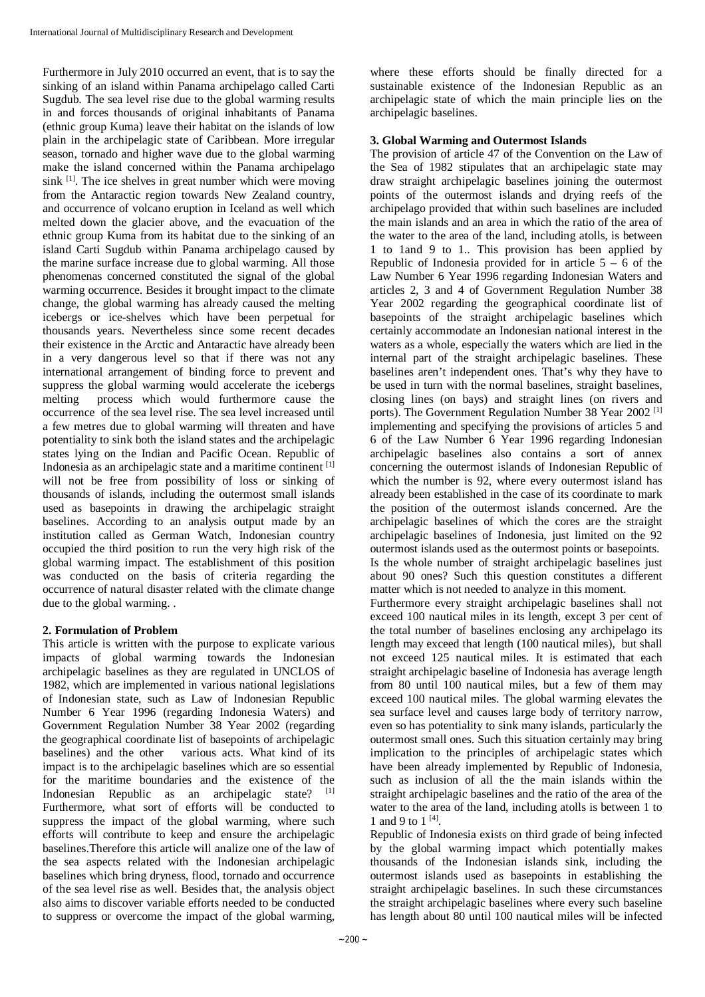Furthermore in July 2010 occurred an event, that is to say the sinking of an island within Panama archipelago called Carti Sugdub. The sea level rise due to the global warming results in and forces thousands of original inhabitants of Panama (ethnic group Kuma) leave their habitat on the islands of low plain in the archipelagic state of Caribbean. More irregular season, tornado and higher wave due to the global warming make the island concerned within the Panama archipelago sink <sup>[1]</sup>. The ice shelves in great number which were moving from the Antaractic region towards New Zealand country, and occurrence of volcano eruption in Iceland as well which melted down the glacier above, and the evacuation of the ethnic group Kuma from its habitat due to the sinking of an island Carti Sugdub within Panama archipelago caused by the marine surface increase due to global warming. All those phenomenas concerned constituted the signal of the global warming occurrence. Besides it brought impact to the climate change, the global warming has already caused the melting icebergs or ice-shelves which have been perpetual for thousands years. Nevertheless since some recent decades their existence in the Arctic and Antaractic have already been in a very dangerous level so that if there was not any international arrangement of binding force to prevent and suppress the global warming would accelerate the icebergs melting process which would furthermore cause the occurrence of the sea level rise. The sea level increased until a few metres due to global warming will threaten and have potentiality to sink both the island states and the archipelagic states lying on the Indian and Pacific Ocean. Republic of Indonesia as an archipelagic state and a maritime continent [1] will not be free from possibility of loss or sinking of thousands of islands, including the outermost small islands used as basepoints in drawing the archipelagic straight baselines. According to an analysis output made by an institution called as German Watch, Indonesian country occupied the third position to run the very high risk of the global warming impact. The establishment of this position was conducted on the basis of criteria regarding the occurrence of natural disaster related with the climate change due to the global warming. .

# **2. Formulation of Problem**

This article is written with the purpose to explicate various impacts of global warming towards the Indonesian archipelagic baselines as they are regulated in UNCLOS of 1982, which are implemented in various national legislations of Indonesian state, such as Law of Indonesian Republic Number 6 Year 1996 (regarding Indonesia Waters) and Government Regulation Number 38 Year 2002 (regarding the geographical coordinate list of basepoints of archipelagic baselines) and the other various acts. What kind of its impact is to the archipelagic baselines which are so essential for the maritime boundaries and the existence of the Indonesian Republic as an archipelagic state?  $[1]$ Furthermore, what sort of efforts will be conducted to suppress the impact of the global warming, where such efforts will contribute to keep and ensure the archipelagic baselines.Therefore this article will analize one of the law of the sea aspects related with the Indonesian archipelagic baselines which bring dryness, flood, tornado and occurrence of the sea level rise as well. Besides that, the analysis object also aims to discover variable efforts needed to be conducted to suppress or overcome the impact of the global warming,

where these efforts should be finally directed for a sustainable existence of the Indonesian Republic as an archipelagic state of which the main principle lies on the archipelagic baselines.

## **3. Global Warming and Outermost Islands**

The provision of article 47 of the Convention on the Law of the Sea of 1982 stipulates that an archipelagic state may draw straight archipelagic baselines joining the outermost points of the outermost islands and drying reefs of the archipelago provided that within such baselines are included the main islands and an area in which the ratio of the area of the water to the area of the land, including atolls, is between 1 to 1and 9 to 1.. This provision has been applied by Republic of Indonesia provided for in article  $5 - 6$  of the Law Number 6 Year 1996 regarding Indonesian Waters and articles 2, 3 and 4 of Government Regulation Number 38 Year 2002 regarding the geographical coordinate list of basepoints of the straight archipelagic baselines which certainly accommodate an Indonesian national interest in the waters as a whole, especially the waters which are lied in the internal part of the straight archipelagic baselines. These baselines aren't independent ones. That's why they have to be used in turn with the normal baselines, straight baselines, closing lines (on bays) and straight lines (on rivers and ports). The Government Regulation Number 38 Year 2002<sup>[1]</sup> implementing and specifying the provisions of articles 5 and 6 of the Law Number 6 Year 1996 regarding Indonesian archipelagic baselines also contains a sort of annex concerning the outermost islands of Indonesian Republic of which the number is 92, where every outermost island has already been established in the case of its coordinate to mark the position of the outermost islands concerned. Are the archipelagic baselines of which the cores are the straight archipelagic baselines of Indonesia, just limited on the 92 outermost islands used as the outermost points or basepoints. Is the whole number of straight archipelagic baselines just about 90 ones? Such this question constitutes a different matter which is not needed to analyze in this moment. Furthermore every straight archipelagic baselines shall not

exceed 100 nautical miles in its length, except 3 per cent of the total number of baselines enclosing any archipelago its length may exceed that length (100 nautical miles), but shall not exceed 125 nautical miles. It is estimated that each straight archipelagic baseline of Indonesia has average length from 80 until 100 nautical miles, but a few of them may exceed 100 nautical miles. The global warming elevates the sea surface level and causes large body of territory narrow, even so has potentiality to sink many islands, particularly the outermost small ones. Such this situation certainly may bring implication to the principles of archipelagic states which have been already implemented by Republic of Indonesia, such as inclusion of all the the main islands within the straight archipelagic baselines and the ratio of the area of the water to the area of the land, including atolls is between 1 to 1 and 9 to  $1^{[4]}$ .

Republic of Indonesia exists on third grade of being infected by the global warming impact which potentially makes thousands of the Indonesian islands sink, including the outermost islands used as basepoints in establishing the straight archipelagic baselines. In such these circumstances the straight archipelagic baselines where every such baseline has length about 80 until 100 nautical miles will be infected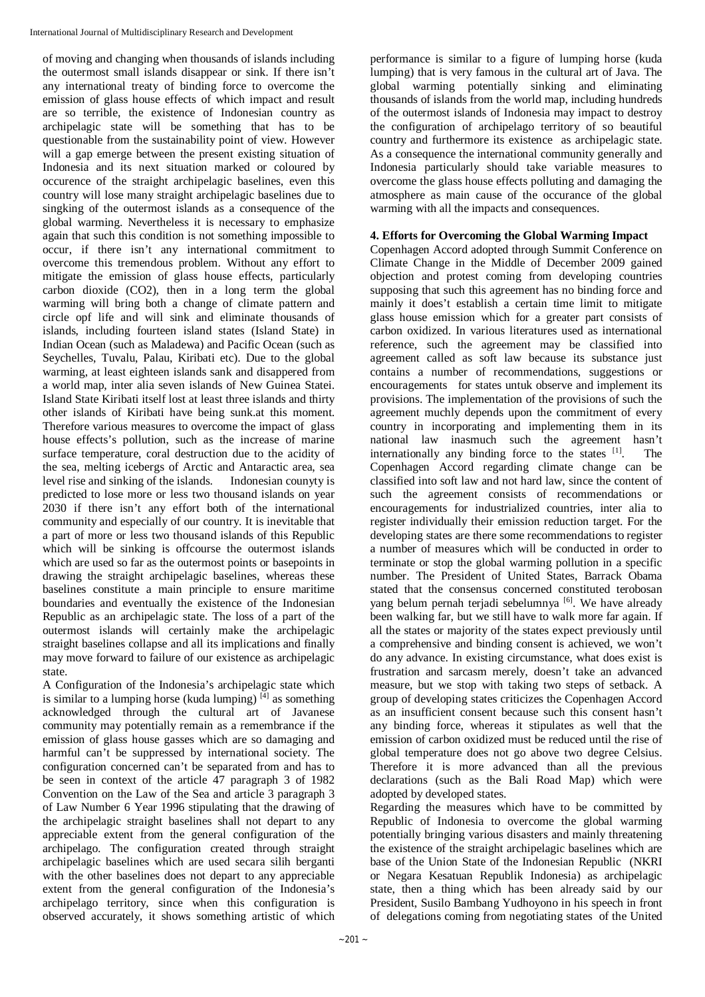of moving and changing when thousands of islands including the outermost small islands disappear or sink. If there isn't any international treaty of binding force to overcome the emission of glass house effects of which impact and result are so terrible, the existence of Indonesian country as archipelagic state will be something that has to be questionable from the sustainability point of view. However will a gap emerge between the present existing situation of Indonesia and its next situation marked or coloured by occurence of the straight archipelagic baselines, even this country will lose many straight archipelagic baselines due to singking of the outermost islands as a consequence of the global warming. Nevertheless it is necessary to emphasize again that such this condition is not something impossible to occur, if there isn't any international commitment to overcome this tremendous problem. Without any effort to mitigate the emission of glass house effects, particularly carbon dioxide (CO2), then in a long term the global warming will bring both a change of climate pattern and circle opf life and will sink and eliminate thousands of islands, including fourteen island states (Island State) in Indian Ocean (such as Maladewa) and Pacific Ocean (such as Seychelles, Tuvalu, Palau, Kiribati etc). Due to the global warming, at least eighteen islands sank and disappered from a world map, inter alia seven islands of New Guinea Statei. Island State Kiribati itself lost at least three islands and thirty other islands of Kiribati have being sunk.at this moment. Therefore various measures to overcome the impact of glass house effects's pollution, such as the increase of marine surface temperature, coral destruction due to the acidity of the sea, melting icebergs of Arctic and Antaractic area, sea level rise and sinking of the islands. Indonesian counyty is predicted to lose more or less two thousand islands on year 2030 if there isn't any effort both of the international community and especially of our country. It is inevitable that a part of more or less two thousand islands of this Republic which will be sinking is offcourse the outermost islands which are used so far as the outermost points or basepoints in drawing the straight archipelagic baselines, whereas these baselines constitute a main principle to ensure maritime boundaries and eventually the existence of the Indonesian Republic as an archipelagic state. The loss of a part of the outermost islands will certainly make the archipelagic straight baselines collapse and all its implications and finally may move forward to failure of our existence as archipelagic state.

A Configuration of the Indonesia's archipelagic state which is similar to a lumping horse (kuda lumping) [4] as something acknowledged through the cultural art of Javanese community may potentially remain as a remembrance if the emission of glass house gasses which are so damaging and harmful can't be suppressed by international society. The configuration concerned can't be separated from and has to be seen in context of the article 47 paragraph 3 of 1982 Convention on the Law of the Sea and article 3 paragraph 3 of Law Number 6 Year 1996 stipulating that the drawing of the archipelagic straight baselines shall not depart to any appreciable extent from the general configuration of the archipelago. The configuration created through straight archipelagic baselines which are used secara silih berganti with the other baselines does not depart to any appreciable extent from the general configuration of the Indonesia's archipelago territory, since when this configuration is observed accurately, it shows something artistic of which

performance is similar to a figure of lumping horse (kuda lumping) that is very famous in the cultural art of Java. The global warming potentially sinking and eliminating thousands of islands from the world map, including hundreds of the outermost islands of Indonesia may impact to destroy the configuration of archipelago territory of so beautiful country and furthermore its existence as archipelagic state. As a consequence the international community generally and Indonesia particularly should take variable measures to overcome the glass house effects polluting and damaging the atmosphere as main cause of the occurance of the global warming with all the impacts and consequences.

## **4. Efforts for Overcoming the Global Warming Impact**

Copenhagen Accord adopted through Summit Conference on Climate Change in the Middle of December 2009 gained objection and protest coming from developing countries supposing that such this agreement has no binding force and mainly it does't establish a certain time limit to mitigate glass house emission which for a greater part consists of carbon oxidized. In various literatures used as international reference, such the agreement may be classified into agreement called as soft law because its substance just contains a number of recommendations, suggestions or encouragements for states untuk observe and implement its provisions. The implementation of the provisions of such the agreement muchly depends upon the commitment of every country in incorporating and implementing them in its national law inasmuch such the agreement hasn't internationally any binding force to the states [1] . The Copenhagen Accord regarding climate change can be classified into soft law and not hard law, since the content of such the agreement consists of recommendations or encouragements for industrialized countries, inter alia to register individually their emission reduction target. For the developing states are there some recommendations to register a number of measures which will be conducted in order to terminate or stop the global warming pollution in a specific number. The President of United States, Barrack Obama stated that the consensus concerned constituted terobosan yang belum pernah terjadi sebelumnya [6]. We have already been walking far, but we still have to walk more far again. If all the states or majority of the states expect previously until a comprehensive and binding consent is achieved, we won't do any advance. In existing circumstance, what does exist is frustration and sarcasm merely, doesn't take an advanced measure, but we stop with taking two steps of setback. A group of developing states criticizes the Copenhagen Accord as an insufficient consent because such this consent hasn't any binding force, whereas it stipulates as well that the emission of carbon oxidized must be reduced until the rise of global temperature does not go above two degree Celsius. Therefore it is more advanced than all the previous declarations (such as the Bali Road Map) which were adopted by developed states.

Regarding the measures which have to be committed by Republic of Indonesia to overcome the global warming potentially bringing various disasters and mainly threatening the existence of the straight archipelagic baselines which are base of the Union State of the Indonesian Republic (NKRI or Negara Kesatuan Republik Indonesia) as archipelagic state, then a thing which has been already said by our President, Susilo Bambang Yudhoyono in his speech in front of delegations coming from negotiating states of the United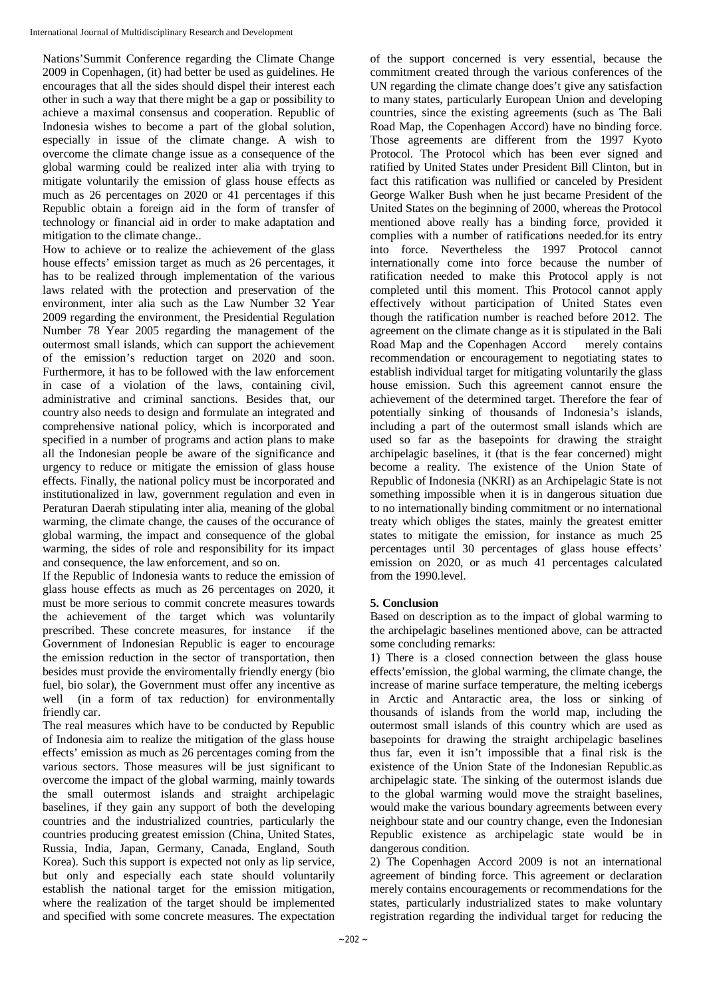Nations'Summit Conference regarding the Climate Change 2009 in Copenhagen, (it) had better be used as guidelines. He encourages that all the sides should dispel their interest each other in such a way that there might be a gap or possibility to achieve a maximal consensus and cooperation. Republic of Indonesia wishes to become a part of the global solution, especially in issue of the climate change. A wish to overcome the climate change issue as a consequence of the global warming could be realized inter alia with trying to mitigate voluntarily the emission of glass house effects as much as 26 percentages on 2020 or 41 percentages if this Republic obtain a foreign aid in the form of transfer of technology or financial aid in order to make adaptation and mitigation to the climate change..

How to achieve or to realize the achievement of the glass house effects' emission target as much as 26 percentages, it has to be realized through implementation of the various laws related with the protection and preservation of the environment, inter alia such as the Law Number 32 Year 2009 regarding the environment, the Presidential Regulation Number 78 Year 2005 regarding the management of the outermost small islands, which can support the achievement of the emission's reduction target on 2020 and soon. Furthermore, it has to be followed with the law enforcement in case of a violation of the laws, containing civil, administrative and criminal sanctions. Besides that, our country also needs to design and formulate an integrated and comprehensive national policy, which is incorporated and specified in a number of programs and action plans to make all the Indonesian people be aware of the significance and urgency to reduce or mitigate the emission of glass house effects. Finally, the national policy must be incorporated and institutionalized in law, government regulation and even in Peraturan Daerah stipulating inter alia, meaning of the global warming, the climate change, the causes of the occurance of global warming, the impact and consequence of the global warming, the sides of role and responsibility for its impact and consequence, the law enforcement, and so on.

If the Republic of Indonesia wants to reduce the emission of glass house effects as much as 26 percentages on 2020, it must be more serious to commit concrete measures towards the achievement of the target which was voluntarily prescribed. These concrete measures, for instance if the Government of Indonesian Republic is eager to encourage the emission reduction in the sector of transportation, then besides must provide the enviromentally friendly energy (bio fuel, bio solar), the Government must offer any incentive as well (in a form of tax reduction) for environmentally friendly car.

The real measures which have to be conducted by Republic of Indonesia aim to realize the mitigation of the glass house effects' emission as much as 26 percentages coming from the various sectors. Those measures will be just significant to overcome the impact of the global warming, mainly towards the small outermost islands and straight archipelagic baselines, if they gain any support of both the developing countries and the industrialized countries, particularly the countries producing greatest emission (China, United States, Russia, India, Japan, Germany, Canada, England, South Korea). Such this support is expected not only as lip service, but only and especially each state should voluntarily establish the national target for the emission mitigation, where the realization of the target should be implemented and specified with some concrete measures. The expectation

of the support concerned is very essential, because the commitment created through the various conferences of the UN regarding the climate change does't give any satisfaction to many states, particularly European Union and developing countries, since the existing agreements (such as The Bali Road Map, the Copenhagen Accord) have no binding force. Those agreements are different from the 1997 Kyoto Protocol. The Protocol which has been ever signed and ratified by United States under President Bill Clinton, but in fact this ratification was nullified or canceled by President George Walker Bush when he just became President of the United States on the beginning of 2000, whereas the Protocol mentioned above really has a binding force, provided it complies with a number of ratifications needed.for its entry into force. Nevertheless the 1997 Protocol cannot internationally come into force because the number of ratification needed to make this Protocol apply is not completed until this moment. This Protocol cannot apply effectively without participation of United States even though the ratification number is reached before 2012. The agreement on the climate change as it is stipulated in the Bali Road Map and the Copenhagen Accord merely contains recommendation or encouragement to negotiating states to establish individual target for mitigating voluntarily the glass house emission. Such this agreement cannot ensure the achievement of the determined target. Therefore the fear of potentially sinking of thousands of Indonesia's islands, including a part of the outermost small islands which are used so far as the basepoints for drawing the straight archipelagic baselines, it (that is the fear concerned) might become a reality. The existence of the Union State of Republic of Indonesia (NKRI) as an Archipelagic State is not something impossible when it is in dangerous situation due to no internationally binding commitment or no international treaty which obliges the states, mainly the greatest emitter states to mitigate the emission, for instance as much 25 percentages until 30 percentages of glass house effects' emission on 2020, or as much 41 percentages calculated from the 1990.level.

# **5. Conclusion**

Based on description as to the impact of global warming to the archipelagic baselines mentioned above, can be attracted some concluding remarks:

1) There is a closed connection between the glass house effects'emission, the global warming, the climate change, the increase of marine surface temperature, the melting icebergs in Arctic and Antaractic area, the loss or sinking of thousands of islands from the world map, including the outermost small islands of this country which are used as basepoints for drawing the straight archipelagic baselines thus far, even it isn't impossible that a final risk is the existence of the Union State of the Indonesian Republic.as archipelagic state. The sinking of the outermost islands due to the global warming would move the straight baselines, would make the various boundary agreements between every neighbour state and our country change, even the Indonesian Republic existence as archipelagic state would be in dangerous condition.

2) The Copenhagen Accord 2009 is not an international agreement of binding force. This agreement or declaration merely contains encouragements or recommendations for the states, particularly industrialized states to make voluntary registration regarding the individual target for reducing the